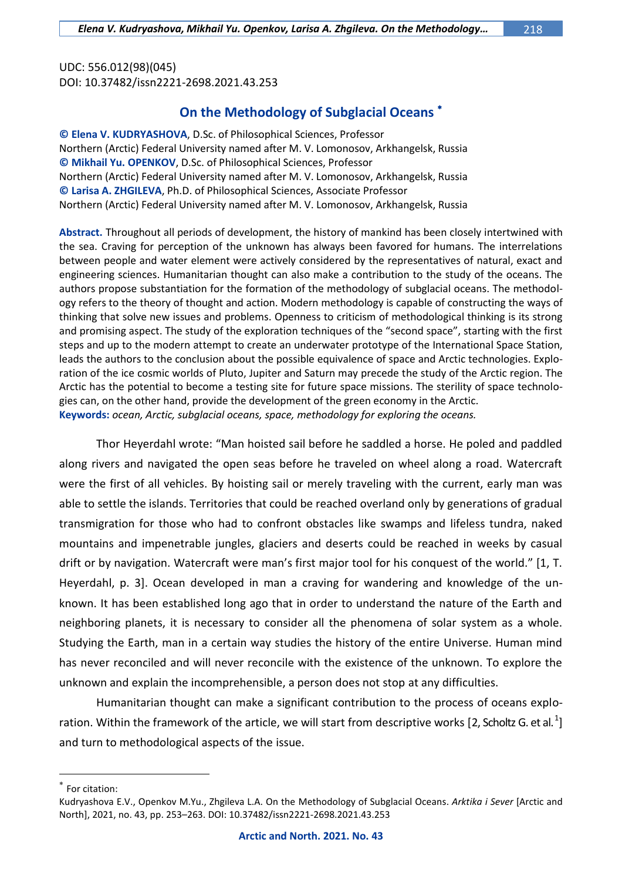UDC: 556.012(98)(045) DOI: 10.37482/issn2221-2698.2021.43.253

## **On the Methodology of Subglacial Oceans**

**© Elena V. KUDRYASHOVA**, D.Sc. of Philosophical Sciences, Professor Northern (Arctic) Federal University named after M. V. Lomonosov, Arkhangelsk, Russia **© Mikhail Yu. OPENKOV**, D.Sc. of Philosophical Sciences, Professor Northern (Arctic) Federal University named after M. V. Lomonosov, Arkhangelsk, Russia **© Larisa A. ZHGILEVA**, Ph.D. of Philosophical Sciences, Associate Professor Northern (Arctic) Federal University named after M. V. Lomonosov, Arkhangelsk, Russia

**Abstract.** Throughout all periods of development, the history of mankind has been closely intertwined with the sea. Craving for perception of the unknown has always been favored for humans. The interrelations between people and water element were actively considered by the representatives of natural, exact and engineering sciences. Humanitarian thought can also make a contribution to the study of the oceans. The authors propose substantiation for the formation of the methodology of subglacial oceans. The methodology refers to the theory of thought and action. Modern methodology is capable of constructing the ways of thinking that solve new issues and problems. Openness to criticism of methodological thinking is its strong and promising aspect. The study of the exploration techniques of the "second space", starting with the first steps and up to the modern attempt to create an underwater prototype of the International Space Station, leads the authors to the conclusion about the possible equivalence of space and Arctic technologies. Exploration of the ice cosmic worlds of Pluto, Jupiter and Saturn may precede the study of the Arctic region. The Arctic has the potential to become a testing site for future space missions. The sterility of space technologies can, on the other hand, provide the development of the green economy in the Arctic. **Keywords:** *ocean, Arctic, subglacial oceans, space, methodology for exploring the oceans.*

Thor Heyerdahl wrote: "Man hoisted sail before he saddled a horse. He poled and paddled along rivers and navigated the open seas before he traveled on wheel along a road. Watercraft were the first of all vehicles. By hoisting sail or merely traveling with the current, early man was able to settle the islands. Territories that could be reached overland only by generations of gradual transmigration for those who had to confront obstacles like swamps and lifeless tundra, naked mountains and impenetrable jungles, glaciers and deserts could be reached in weeks by casual drift or by navigation. Watercraft were man's first major tool for his conquest of the world." [1, T. Heyerdahl, p. 3]. Ocean developed in man a craving for wandering and knowledge of the unknown. It has been established long ago that in order to understand the nature of the Earth and neighboring planets, it is necessary to consider all the phenomena of solar system as a whole. Studying the Earth, man in a certain way studies the history of the entire Universe. Human mind has never reconciled and will never reconcile with the existence of the unknown. To explore the unknown and explain the incomprehensible, a person does not stop at any difficulties.

Humanitarian thought can make a significant contribution to the process of oceans exploration. Within the framework of the article, we will start from descriptive works [2, Scholtz G. et al.<sup>1</sup>] and turn to methodological aspects of the issue.

 $*$  For citation:

Kudryashova E.V., Openkov M.Yu., Zhgileva L.A. On the Methodology of Subglacial Oceans. *Arktika i Sever* [Arctic and North], 2021, no. 43, pp. 253–263. DOI: 10.37482/issn2221-2698.2021.43.253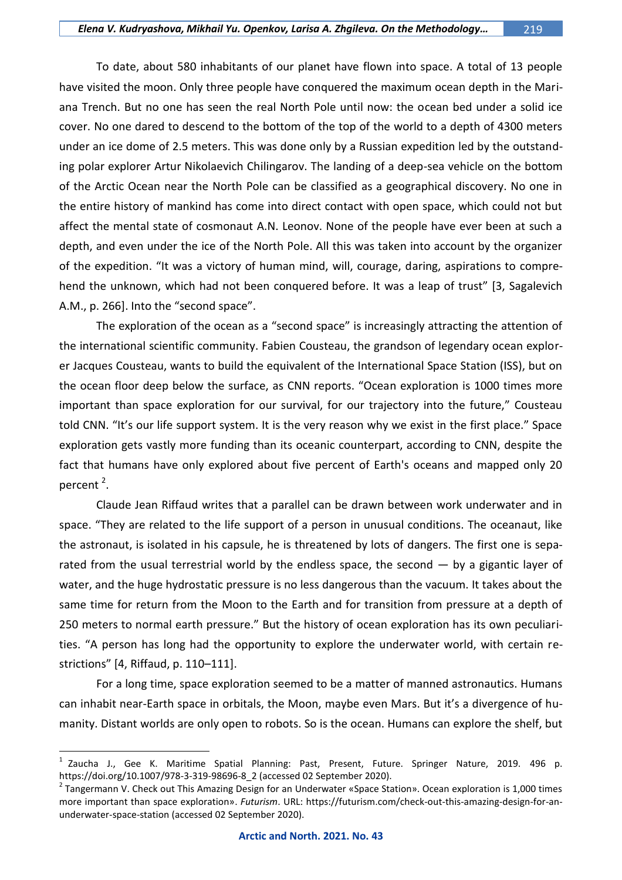To date, about 580 inhabitants of our planet have flown into space. A total of 13 people have visited the moon. Only three people have conquered the maximum ocean depth in the Mariana Trench. But no one has seen the real North Pole until now: the ocean bed under a solid ice cover. No one dared to descend to the bottom of the top of the world to a depth of 4300 meters under an ice dome of 2.5 meters. This was done only by a Russian expedition led by the outstanding polar explorer Artur Nikolaevich Chilingarov. The landing of a deep-sea vehicle on the bottom of the Arctic Ocean near the North Pole can be classified as a geographical discovery. No one in the entire history of mankind has come into direct contact with open space, which could not but affect the mental state of cosmonaut A.N. Leonov. None of the people have ever been at such a depth, and even under the ice of the North Pole. All this was taken into account by the organizer of the expedition. "It was a victory of human mind, will, courage, daring, aspirations to comprehend the unknown, which had not been conquered before. It was a leap of trust" [3, Sagalevich A.M., p. 266]. Into the "second space".

The exploration of the ocean as a "second space" is increasingly attracting the attention of the international scientific community. Fabien Cousteau, the grandson of legendary ocean explorer Jacques Cousteau, wants to build the equivalent of the International Space Station (ISS), but on the ocean floor deep below the surface, as CNN reports. "Ocean exploration is 1000 times more important than space exploration for our survival, for our trajectory into the future," Cousteau told CNN. "It's our life support system. It is the very reason why we exist in the first place." Space exploration gets vastly more funding than its oceanic counterpart, according to CNN, despite the fact that humans have only explored about five percent of Earth's oceans and mapped only 20 percent<sup>2</sup>.

Claude Jean Riffaud writes that a parallel can be drawn between work underwater and in space. "They are related to the life support of a person in unusual conditions. The oceanaut, like the astronaut, is isolated in his capsule, he is threatened by lots of dangers. The first one is separated from the usual terrestrial world by the endless space, the second — by a gigantic layer of water, and the huge hydrostatic pressure is no less dangerous than the vacuum. It takes about the same time for return from the Moon to the Earth and for transition from pressure at a depth of 250 meters to normal earth pressure." But the history of ocean exploration has its own peculiarities. "A person has long had the opportunity to explore the underwater world, with certain restrictions" [4, Riffaud, p. 110–111].

For a long time, space exploration seemed to be a matter of manned astronautics. Humans can inhabit near-Earth space in orbitals, the Moon, maybe even Mars. But it's a divergence of humanity. Distant worlds are only open to robots. So is the ocean. Humans can explore the shelf, but

<sup>1</sup> Zaucha J., Gee K. Maritime Spatial Planning: Past, Present, Future. Springer Nature, 2019. 496 p. https://doi.org/10.1007/978-3-319-98696-8\_2 (accessed 02 September 2020).

<sup>&</sup>lt;sup>2</sup> Tangermann V. Check out This Amazing Design for an Underwater «Space Station». Ocean exploration is 1,000 times more important than space exploration». *Futurism*. URL: https://futurism.com/check-out-this-amazing-design-for-anunderwater-space-station (accessed 02 September 2020).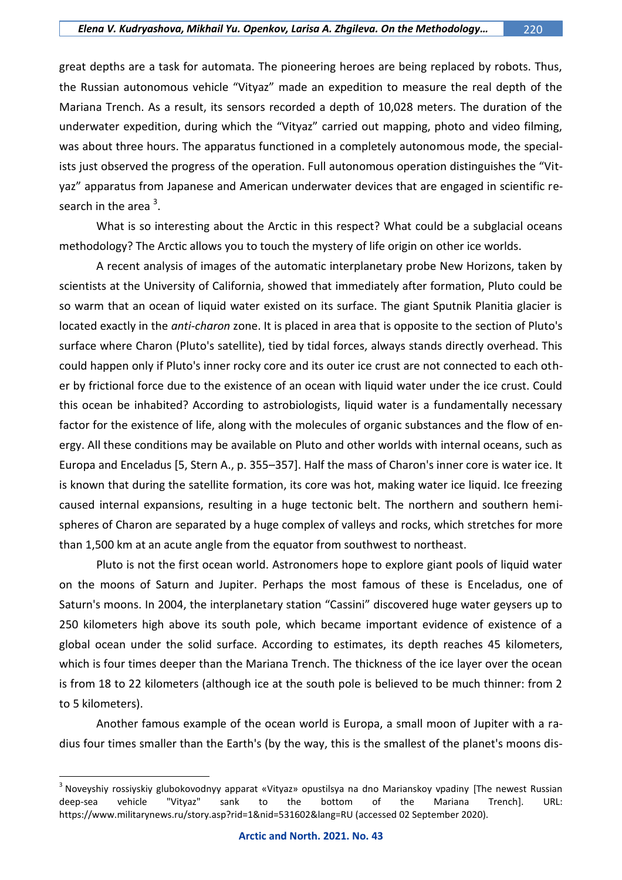great depths are a task for automata. The pioneering heroes are being replaced by robots. Thus, the Russian autonomous vehicle "Vityaz" made an expedition to measure the real depth of the Mariana Trench. As a result, its sensors recorded a depth of 10,028 meters. The duration of the underwater expedition, during which the "Vityaz" carried out mapping, photo and video filming, was about three hours. The apparatus functioned in a completely autonomous mode, the specialists just observed the progress of the operation. Full autonomous operation distinguishes the "Vityaz" apparatus from Japanese and American underwater devices that are engaged in scientific research in the area  $3$ .

What is so interesting about the Arctic in this respect? What could be a subglacial oceans methodology? The Arctic allows you to touch the mystery of life origin on other ice worlds.

A recent analysis of images of the automatic interplanetary probe New Horizons, taken by scientists at the University of California, showed that immediately after formation, Pluto could be so warm that an ocean of liquid water existed on its surface. The giant Sputnik Planitia glacier is located exactly in the *anti-charon* zone. It is placed in area that is opposite to the section of Pluto's surface where Charon (Pluto's satellite), tied by tidal forces, always stands directly overhead. This could happen only if Pluto's inner rocky core and its outer ice crust are not connected to each other by frictional force due to the existence of an ocean with liquid water under the ice crust. Could this ocean be inhabited? According to astrobiologists, liquid water is a fundamentally necessary factor for the existence of life, along with the molecules of organic substances and the flow of energy. All these conditions may be available on Pluto and other worlds with internal oceans, such as Europa and Enceladus [5, Stern A., p. 355–357]. Half the mass of Charon's inner core is water ice. It is known that during the satellite formation, its core was hot, making water ice liquid. Ice freezing caused internal expansions, resulting in a huge tectonic belt. The northern and southern hemispheres of Charon are separated by a huge complex of valleys and rocks, which stretches for more than 1,500 km at an acute angle from the equator from southwest to northeast.

Pluto is not the first ocean world. Astronomers hope to explore giant pools of liquid water on the moons of Saturn and Jupiter. Perhaps the most famous of these is Enceladus, one of Saturn's moons. In 2004, the interplanetary station "Cassini" discovered huge water geysers up to 250 kilometers high above its south pole, which became important evidence of existence of a global ocean under the solid surface. According to estimates, its depth reaches 45 kilometers, which is four times deeper than the Mariana Trench. The thickness of the ice layer over the ocean is from 18 to 22 kilometers (although ice at the south pole is believed to be much thinner: from 2 to 5 kilometers).

Another famous example of the ocean world is Europa, a small moon of Jupiter with a radius four times smaller than the Earth's (by the way, this is the smallest of the planet's moons dis-

<sup>&</sup>lt;sup>3</sup> Noveyshiy rossiyskiy glubokovodnyy apparat «Vityaz» opustilsya na dno Marianskoy vpadiny [The newest Russian deep-sea vehicle "Vityaz" sank to the bottom of the Mariana Trench]. URL: https://www.militarynews.ru/story.asp?rid=1&nid=531602&lang=RU (accessed 02 September 2020).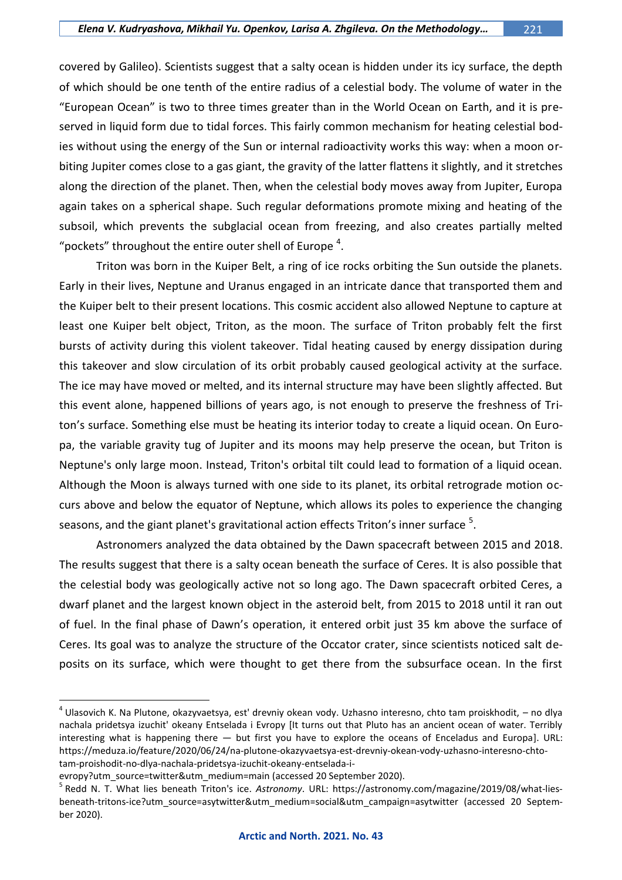covered by Galileo). Scientists suggest that a salty ocean is hidden under its icy surface, the depth of which should be one tenth of the entire radius of a celestial body. The volume of water in the "European Ocean" is two to three times greater than in the World Ocean on Earth, and it is preserved in liquid form due to tidal forces. This fairly common mechanism for heating celestial bodies without using the energy of the Sun or internal radioactivity works this way: when a moon orbiting Jupiter comes close to a gas giant, the gravity of the latter flattens it slightly, and it stretches along the direction of the planet. Then, when the celestial body moves away from Jupiter, Europa again takes on a spherical shape. Such regular deformations promote mixing and heating of the subsoil, which prevents the subglacial ocean from freezing, and also creates partially melted "pockets" throughout the entire outer shell of Europe  $^4$ .

Triton was born in the Kuiper Belt, a ring of ice rocks orbiting the Sun outside the planets. Early in their lives, Neptune and Uranus engaged in an intricate dance that transported them and the Kuiper belt to their present locations. This cosmic accident also allowed Neptune to capture at least one Kuiper belt object, Triton, as the moon. The surface of Triton probably felt the first bursts of activity during this violent takeover. Tidal heating caused by energy dissipation during this takeover and slow circulation of its orbit probably caused geological activity at the surface. The ice may have moved or melted, and its internal structure may have been slightly affected. But this event alone, happened billions of years ago, is not enough to preserve the freshness of Triton's surface. Something else must be heating its interior today to create a liquid ocean. On Europa, the variable gravity tug of Jupiter and its moons may help preserve the ocean, but Triton is Neptune's only large moon. Instead, Triton's orbital tilt could lead to formation of a liquid ocean. Although the Moon is always turned with one side to its planet, its orbital retrograde motion occurs above and below the equator of Neptune, which allows its poles to experience the changing seasons, and the giant planet's gravitational action effects Triton's inner surface  $^5$ .

Astronomers analyzed the data obtained by the Dawn spacecraft between 2015 and 2018. The results suggest that there is a salty ocean beneath the surface of Ceres. It is also possible that the celestial body was geologically active not so long ago. The Dawn spacecraft orbited Ceres, a dwarf planet and the largest known object in the asteroid belt, from 2015 to 2018 until it ran out of fuel. In the final phase of Dawn's operation, it entered orbit just 35 km above the surface of Ceres. Its goal was to analyze the structure of the Occator crater, since scientists noticed salt deposits on its surface, which were thought to get there from the subsurface ocean. In the first

<sup>&</sup>lt;sup>4</sup> Ulasovich K. Na Plutone, okazyvaetsya, est' drevniy okean vody. Uzhasno interesno, chto tam proiskhodit, – no dlya nachala pridetsya izuchit' okeany Entselada i Evropy [It turns out that Pluto has an ancient ocean of water. Terribly interesting what is happening there — but first you have to explore the oceans of Enceladus and Europa]. URL: https://meduza.io/feature/2020/06/24/na-plutone-okazyvaetsya-est-drevniy-okean-vody-uzhasno-interesno-chtotam-proishodit-no-dlya-nachala-pridetsya-izuchit-okeany-entselada-i-

evropy?utm\_source=twitter&utm\_medium=main (accessed 20 September 2020).

<sup>5</sup> Redd N. T. What lies beneath Triton's ice. *Astronomy*. URL: https://astronomy.com/magazine/2019/08/what-liesbeneath-tritons-ice?utm\_source=asytwitter&utm\_medium=social&utm\_campaign=asytwitter (accessed 20 September 2020).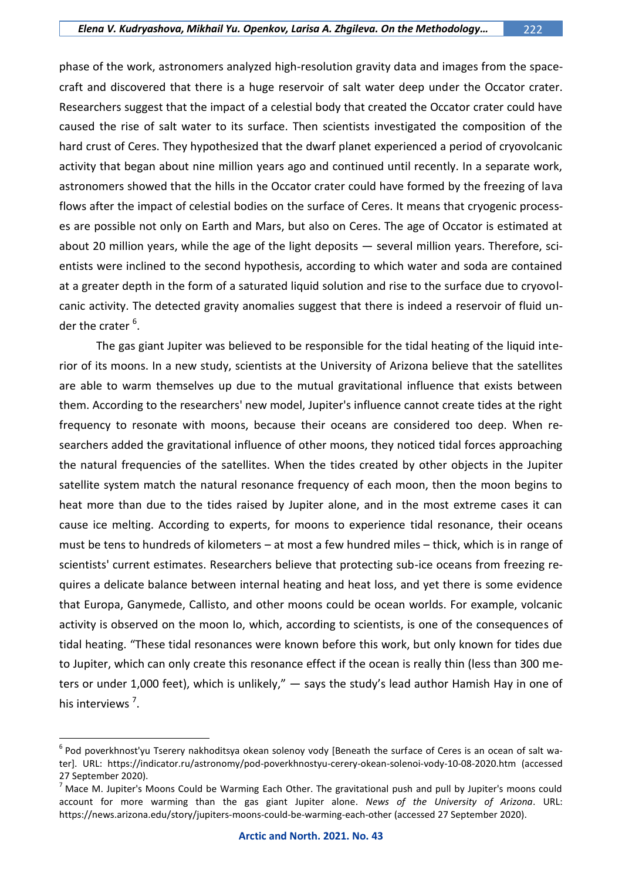phase of the work, astronomers analyzed high-resolution gravity data and images from the spacecraft and discovered that there is a huge reservoir of salt water deep under the Occator crater. Researchers suggest that the impact of a celestial body that created the Occator crater could have caused the rise of salt water to its surface. Then scientists investigated the composition of the hard crust of Ceres. They hypothesized that the dwarf planet experienced a period of cryovolcanic activity that began about nine million years ago and continued until recently. In a separate work, astronomers showed that the hills in the Occator crater could have formed by the freezing of lava flows after the impact of celestial bodies on the surface of Ceres. It means that cryogenic processes are possible not only on Earth and Mars, but also on Ceres. The age of Occator is estimated at about 20 million years, while the age of the light deposits — several million years. Therefore, scientists were inclined to the second hypothesis, according to which water and soda are contained at a greater depth in the form of a saturated liquid solution and rise to the surface due to cryovolcanic activity. The detected gravity anomalies suggest that there is indeed a reservoir of fluid under the crater <sup>6</sup>.

The gas giant Jupiter was believed to be responsible for the tidal heating of the liquid interior of its moons. In a new study, scientists at the University of Arizona believe that the satellites are able to warm themselves up due to the mutual gravitational influence that exists between them. According to the researchers' new model, Jupiter's influence cannot create tides at the right frequency to resonate with moons, because their oceans are considered too deep. When researchers added the gravitational influence of other moons, they noticed tidal forces approaching the natural frequencies of the satellites. When the tides created by other objects in the Jupiter satellite system match the natural resonance frequency of each moon, then the moon begins to heat more than due to the tides raised by Jupiter alone, and in the most extreme cases it can cause ice melting. According to experts, for moons to experience tidal resonance, their oceans must be tens to hundreds of kilometers – at most a few hundred miles – thick, which is in range of scientists' current estimates. Researchers believe that protecting sub-ice oceans from freezing requires a delicate balance between internal heating and heat loss, and yet there is some evidence that Europa, Ganymede, Callisto, and other moons could be ocean worlds. For example, volcanic activity is observed on the moon Io, which, according to scientists, is one of the consequences of tidal heating. "These tidal resonances were known before this work, but only known for tides due to Jupiter, which can only create this resonance effect if the ocean is really thin (less than 300 meters or under 1,000 feet), which is unlikely," — says the study's lead author Hamish Hay in one of his interviews<sup>7</sup>.

 $^6$  Pod poverkhnost'yu Tserery nakhoditsya okean solenoy vody [Beneath the surface of Ceres is an ocean of salt water]. URL: <https://indicator.ru/astronomy/pod-poverkhnostyu-cerery-okean-solenoi-vody-10-08-2020.htm> (accessed 27 September 2020).

 $<sup>7</sup>$  Mace M. Jupiter's Moons Could be Warming Each Other. The gravitational push and pull by Jupiter's moons could</sup> account for more warming than the gas giant Jupiter alone. *News of the University of Arizona*. URL: https://news.arizona.edu/story/jupiters-moons-could-be-warming-each-other (accessed 27 September 2020).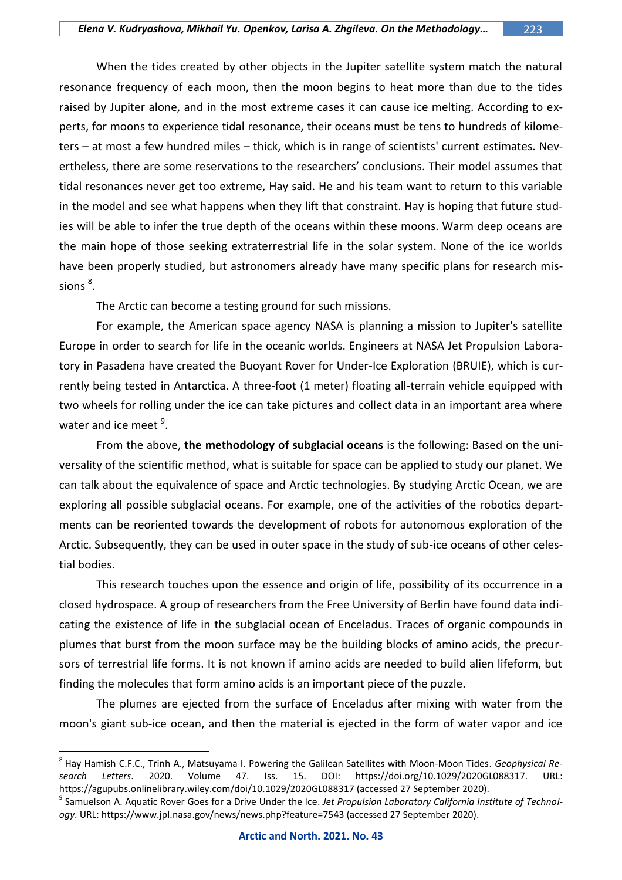When the tides created by other objects in the Jupiter satellite system match the natural resonance frequency of each moon, then the moon begins to heat more than due to the tides raised by Jupiter alone, and in the most extreme cases it can cause ice melting. According to experts, for moons to experience tidal resonance, their oceans must be tens to hundreds of kilometers – at most a few hundred miles – thick, which is in range of scientists' current estimates. Nevertheless, there are some reservations to the researchers' conclusions. Their model assumes that tidal resonances never get too extreme, Hay said. He and his team want to return to this variable in the model and see what happens when they lift that constraint. Hay is hoping that future studies will be able to infer the true depth of the oceans within these moons. Warm deep oceans are the main hope of those seeking extraterrestrial life in the solar system. None of the ice worlds have been properly studied, but astronomers already have many specific plans for research missions  $^8$ .

The Arctic can become a testing ground for such missions.

For example, the American space agency NASA is planning a mission to Jupiter's satellite Europe in order to search for life in the oceanic worlds. Engineers at NASA Jet Propulsion Laboratory in Pasadena have created the Buoyant Rover for Under-Ice Exploration (BRUIE), which is currently being tested in Antarctica. A three-foot (1 meter) floating all-terrain vehicle equipped with two wheels for rolling under the ice can take pictures and collect data in an important area where water and ice meet <sup>9</sup>.

From the above, **the methodology of subglacial oceans** is the following: Based on the universality of the scientific method, what is suitable for space can be applied to study our planet. We can talk about the equivalence of space and Arctic technologies. By studying Arctic Ocean, we are exploring all possible subglacial oceans. For example, one of the activities of the robotics departments can be reoriented towards the development of robots for autonomous exploration of the Arctic. Subsequently, they can be used in outer space in the study of sub-ice oceans of other celestial bodies.

This research touches upon the essence and origin of life, possibility of its occurrence in a closed hydrospace. A group of researchers from the Free University of Berlin have found data indicating the existence of life in the subglacial ocean of Enceladus. Traces of organic compounds in plumes that burst from the moon surface may be the building blocks of amino acids, the precursors of terrestrial life forms. It is not known if amino acids are needed to build alien lifeform, but finding the molecules that form amino acids is an important piece of the puzzle.

The plumes are ejected from the surface of Enceladus after mixing with water from the moon's giant sub-ice ocean, and then the material is ejected in the form of water vapor and ice

<sup>8</sup> Hay Hamish C.F.C., Trinh A., Matsuyama I. Powering the Galilean Satellites with Moon-Moon Tides. *Geophysical Research Letters*. 2020. Volume 47. Iss. 15. DOI: https://doi.org/10.1029/2020GL088317. URL: https://agupubs.onlinelibrary.wiley.com/doi/10.1029/2020GL088317 (accessed 27 September 2020).

<sup>9</sup> Samuelson A. Aquatic Rover Goes for a Drive Under the Ice. *Jet Propulsion Laboratory California Institute of Technology*. URL: https://www.jpl.nasa.gov/news/news.php?feature=7543 (accessed 27 September 2020).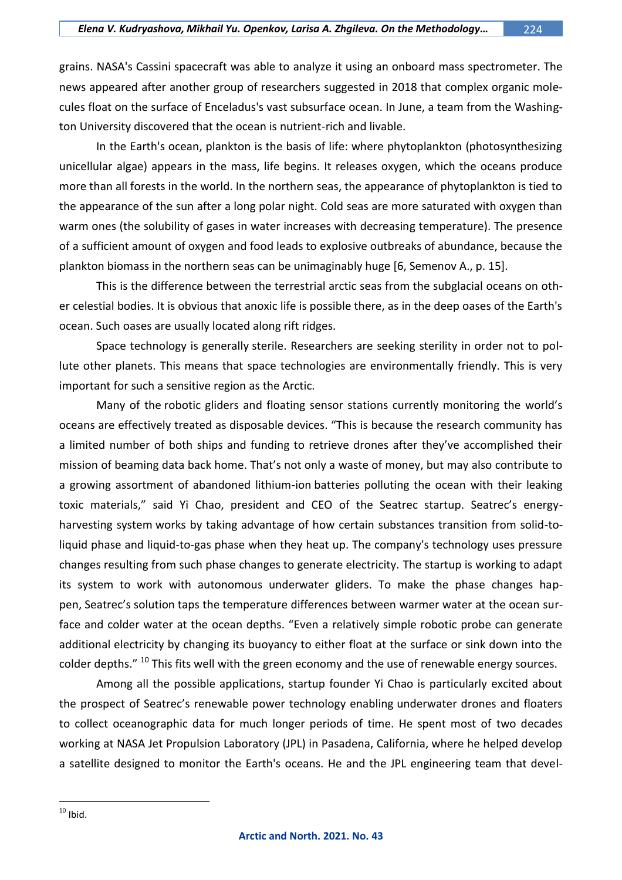grains. NASA's Cassini spacecraft was able to analyze it using an onboard mass spectrometer. The news appeared after another group of researchers suggested in 2018 that complex organic molecules float on the surface of Enceladus's vast subsurface ocean. In June, a team from the Washington University discovered that the ocean is nutrient-rich and livable.

In the Earth's ocean, plankton is the basis of life: where phytoplankton (photosynthesizing unicellular algae) appears in the mass, life begins. It releases oxygen, which the oceans produce more than all forests in the world. In the northern seas, the appearance of phytoplankton is tied to the appearance of the sun after a long polar night. Cold seas are more saturated with oxygen than warm ones (the solubility of gases in water increases with decreasing temperature). The presence of a sufficient amount of oxygen and food leads to explosive outbreaks of abundance, because the plankton biomass in the northern seas can be unimaginably huge [6, Semenov A., p. 15].

This is the difference between the terrestrial arctic seas from the subglacial oceans on other celestial bodies. It is obvious that anoxic life is possible there, as in the deep oases of the Earth's ocean. Such oases are usually located along rift ridges.

Space technology is generally sterile. Researchers are seeking sterility in order not to pollute other planets. This means that space technologies are environmentally friendly. This is very important for such a sensitive region as the Arctic.

Many of the robotic gliders and floating sensor stations currently monitoring the world's oceans are effectively treated as disposable devices. "This is because the research community has a limited number of both ships and funding to retrieve drones after they've accomplished their mission of beaming data back home. That's not only a waste of money, but may also contribute to a growing assortment of abandoned lithium-ion batteries polluting the ocean with their leaking toxic materials," said Yi Chao, president and CEO of the Seatrec startup. Seatrec's energyharvesting system works by taking advantage of how certain substances transition from solid-toliquid phase and liquid-to-gas phase when they heat up. The company's technology uses pressure changes resulting from such phase changes to generate electricity. The startup is working to adapt its system to work with autonomous underwater gliders. To make the phase changes happen, Seatrec's solution taps the temperature differences between warmer water at the ocean surface and colder water at the ocean depths. "Even a relatively simple robotic probe can generate additional electricity by changing its buoyancy to either float at the surface or sink down into the colder depths." <sup>10</sup> This fits well with the green economy and the use of renewable energy sources.

Among all the possible applications, startup founder Yi Chao is particularly excited about the prospect of Seatrec's renewable power technology enabling underwater drones and floaters to collect oceanographic data for much longer periods of time. He spent most of two decades working at NASA Jet Propulsion Laboratory (JPL) in Pasadena, California, where he helped develop a satellite designed to monitor the Earth's oceans. He and the JPL engineering team that devel-

 $\overline{a}$  $10$  Ibid.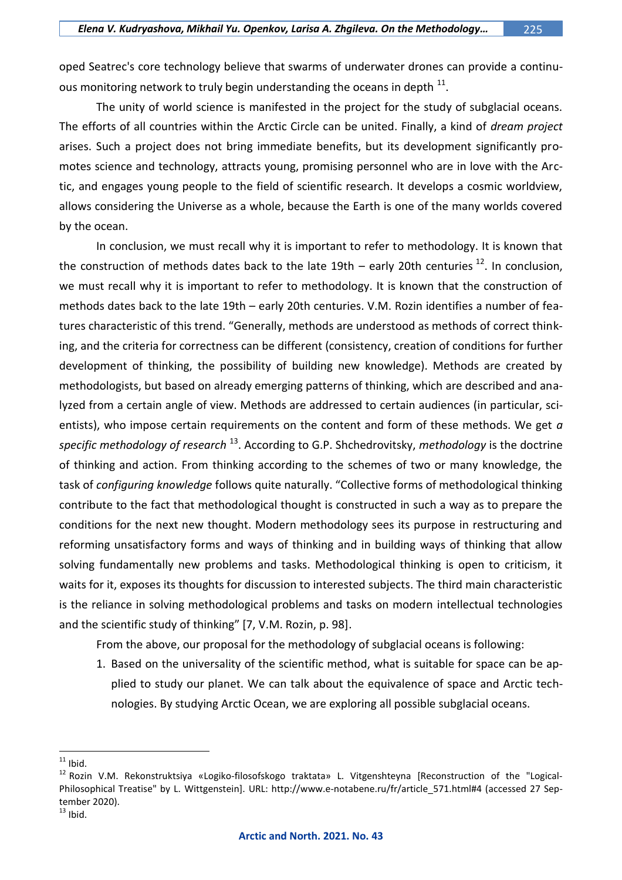oped Seatrec's core technology believe that swarms of underwater drones can provide a continuous monitoring network to truly begin understanding the oceans in depth  $^{11}$ .

The unity of world science is manifested in the project for the study of subglacial oceans. The efforts of all countries within the Arctic Circle can be united. Finally, a kind of *dream project* arises. Such a project does not bring immediate benefits, but its development significantly promotes science and technology, attracts young, promising personnel who are in love with the Arctic, and engages young people to the field of scientific research. It develops a cosmic worldview, allows considering the Universe as a whole, because the Earth is one of the many worlds covered by the ocean.

In conclusion, we must recall why it is important to refer to methodology. It is known that the construction of methods dates back to the late 19th – early 20th centuries  $^{12}$ . In conclusion, we must recall why it is important to refer to methodology. It is known that the construction of methods dates back to the late 19th – early 20th centuries. V.M. Rozin identifies a number of features characteristic of this trend. "Generally, methods are understood as methods of correct thinking, and the criteria for correctness can be different (consistency, creation of conditions for further development of thinking, the possibility of building new knowledge). Methods are created by methodologists, but based on already emerging patterns of thinking, which are described and analyzed from a certain angle of view. Methods are addressed to certain audiences (in particular, scientists), who impose certain requirements on the content and form of these methods. We get *a specific methodology of research* <sup>13</sup>. According to G.P. Shchedrovitsky, *methodology* is the doctrine of thinking and action. From thinking according to the schemes of two or many knowledge, the task of *configuring knowledge* follows quite naturally. "Collective forms of methodological thinking contribute to the fact that methodological thought is constructed in such a way as to prepare the conditions for the next new thought. Modern methodology sees its purpose in restructuring and reforming unsatisfactory forms and ways of thinking and in building ways of thinking that allow solving fundamentally new problems and tasks. Methodological thinking is open to criticism, it waits for it, exposes its thoughts for discussion to interested subjects. The third main characteristic is the reliance in solving methodological problems and tasks on modern intellectual technologies and the scientific study of thinking" [7, V.M. Rozin, p. 98].

From the above, our proposal for the methodology of subglacial oceans is following:

1. Based on the universality of the scientific method, what is suitable for space can be applied to study our planet. We can talk about the equivalence of space and Arctic technologies. By studying Arctic Ocean, we are exploring all possible subglacial oceans.

 $\overline{a}$ 

 $13$  Ibid.

 $11$  Ibid.

<sup>12</sup> Rozin V.M. Rekonstruktsiya «Logiko-filosofskogo traktata» L. Vitgenshteyna [Reconstruction of the "Logical-Philosophical Treatise" by L. Wittgenstein]. URL: http://www.e-notabene.ru/fr/article 571.html#4 (accessed 27 September 2020).